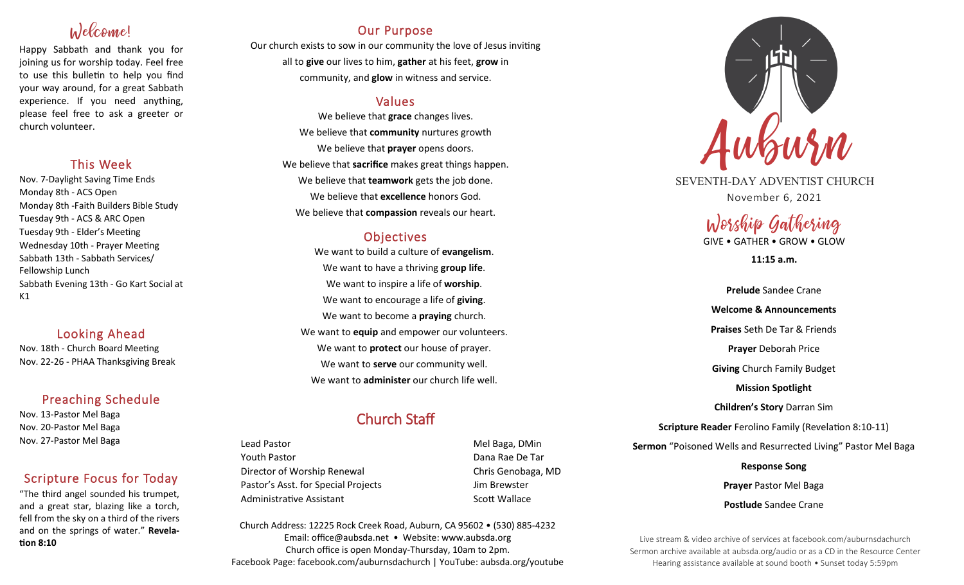# Welcome!

Happy Sabbath and thank you for joining us for worship today. Feel free to use this bulletin to help you find your way around, for a great Sabbath experience. If you need anything, please feel free to ask a greeter or church volunteer.

### This Week

Nov. 7-Daylight Saving Time Ends Monday 8th - ACS Open Monday 8th -Faith Builders Bible Study Tuesday 9th - ACS & ARC Open Tuesday 9th - Elder's Meeting Wednesday 10th - Prayer Meeting Sabbath 13th - Sabbath Services/ Fellowship Lunch Sabbath Evening 13th - Go Kart Social at  $K1$ 

## Looking Ahead

Nov. 18th - Church Board Meeting Nov. 22-26 - PHAA Thanksgiving Break

## Preaching Schedule

Nov. 13-Pastor Mel Baga Nov. 20-Pastor Mel Baga Nov. 27-Pastor Mel Baga

## Scripture Focus for Today

"The third angel sounded his trumpet, and a great star, blazing like a torch, fell from the sky on a third of the rivers and on the springs of water." **Revelation 8:10**

## Our Purpose

Our church exists to sow in our community the love of Jesus inviting all to **give** our lives to him, **gather** at his feet, **grow** in community, and **glow** in witness and service.

## Values

We believe that **grace** changes lives. We believe that **community** nurtures growth We believe that **prayer** opens doors. We believe that **sacrifice** makes great things happen. We believe that **teamwork** gets the job done. We believe that **excellence** honors God. We believe that **compassion** reveals our heart.

## **Objectives**

We want to build a culture of **evangelism**. We want to have a thriving **group life**. We want to inspire a life of **worship**. We want to encourage a life of **giving**. We want to become a **praying** church. We want to **equip** and empower our volunteers. We want to **protect** our house of prayer. We want to **serve** our community well. We want to **administer** our church life well.

## Church Staff

Lead Pastor **Mel Baga, DMin** Youth Pastor Dana Rae De Tar Director of Worship Renewal Chris Genobaga, MD Pastor's Asst. for Special Projects Fig. 3.1 Jim Brewster Administrative Assistant National Controllery Scott Wallace

Church Address: 12225 Rock Creek Road, Auburn, CA 95602 • (530) 885-4232 Email: office@aubsda.net • Website: www.aubsda.org Church office is open Monday-Thursday, 10am to 2pm. Facebook Page: facebook.com/auburnsdachurch | YouTube: aubsda.org/youtube



SEVENTH-DAY ADVENTIST CHURCH November 6, 2021

# Worship Gathering

GIVE • GATHER • GROW • GLOW

**11:15 a.m.**

**Prelude** Sandee Crane **Welcome & Announcements Praises** Seth De Tar & Friends **Prayer** Deborah Price **Giving** Church Family Budget **Mission Spotlight Children's Story** Darran Sim **Scripture Reader** Ferolino Family (Revelation 8:10-11) **Sermon** "Poisoned Wells and Resurrected Living" Pastor Mel Baga **Response Song Prayer** Pastor Mel Baga **Postlude** Sandee Crane

Live stream & video archive of services at facebook.com/auburnsdachurch Sermon archive available at aubsda.org/audio or as a CD in the Resource Center Hearing assistance available at sound booth • Sunset today 5:59pm